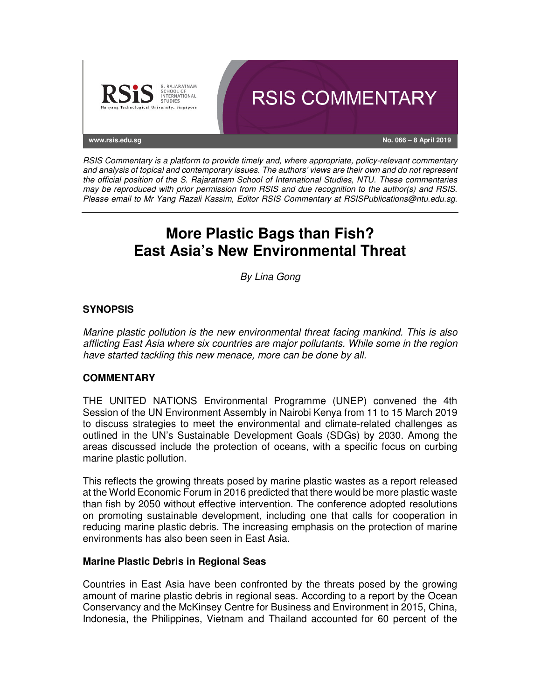

RSIS Commentary is a platform to provide timely and, where appropriate, policy-relevant commentary and analysis of topical and contemporary issues. The authors' views are their own and do not represent the official position of the S. Rajaratnam School of International Studies, NTU. These commentaries may be reproduced with prior permission from RSIS and due recognition to the author(s) and RSIS. Please email to Mr Yang Razali Kassim, Editor RSIS Commentary at RSISPublications@ntu.edu.sg.

# **More Plastic Bags than Fish? East Asia's New Environmental Threat**

By Lina Gong

### **SYNOPSIS**

Marine plastic pollution is the new environmental threat facing mankind. This is also afflicting East Asia where six countries are major pollutants. While some in the region have started tackling this new menace, more can be done by all.

### **COMMENTARY**

THE UNITED NATIONS Environmental Programme (UNEP) convened the 4th Session of the UN Environment Assembly in Nairobi Kenya from 11 to 15 March 2019 to discuss strategies to meet the environmental and climate-related challenges as outlined in the UN's Sustainable Development Goals (SDGs) by 2030. Among the areas discussed include the protection of oceans, with a specific focus on curbing marine plastic pollution.

This reflects the growing threats posed by marine plastic wastes as a report released at the World Economic Forum in 2016 predicted that there would be more plastic waste than fish by 2050 without effective intervention. The conference adopted resolutions on promoting sustainable development, including one that calls for cooperation in reducing marine plastic debris. The increasing emphasis on the protection of marine environments has also been seen in East Asia.

### **Marine Plastic Debris in Regional Seas**

Countries in East Asia have been confronted by the threats posed by the growing amount of marine plastic debris in regional seas. According to a report by the Ocean Conservancy and the McKinsey Centre for Business and Environment in 2015, China, Indonesia, the Philippines, Vietnam and Thailand accounted for 60 percent of the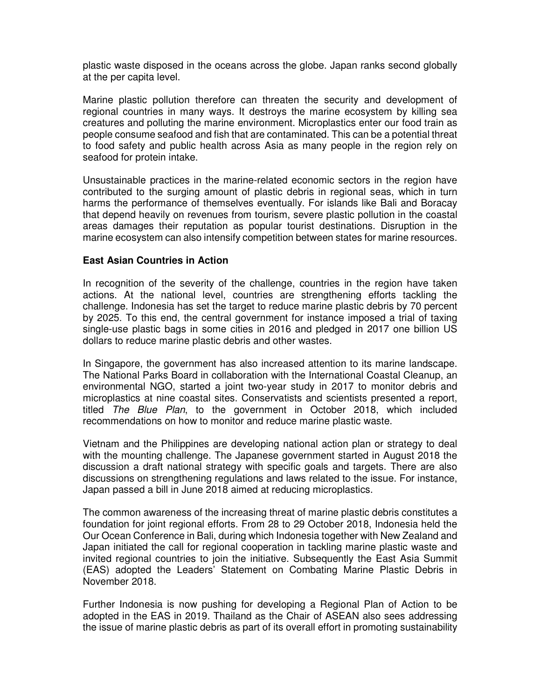plastic waste disposed in the oceans across the globe. Japan ranks second globally at the per capita level.

Marine plastic pollution therefore can threaten the security and development of regional countries in many ways. It destroys the marine ecosystem by killing sea creatures and polluting the marine environment. Microplastics enter our food train as people consume seafood and fish that are contaminated. This can be a potential threat to food safety and public health across Asia as many people in the region rely on seafood for protein intake.

Unsustainable practices in the marine-related economic sectors in the region have contributed to the surging amount of plastic debris in regional seas, which in turn harms the performance of themselves eventually. For islands like Bali and Boracay that depend heavily on revenues from tourism, severe plastic pollution in the coastal areas damages their reputation as popular tourist destinations. Disruption in the marine ecosystem can also intensify competition between states for marine resources.

### **East Asian Countries in Action**

In recognition of the severity of the challenge, countries in the region have taken actions. At the national level, countries are strengthening efforts tackling the challenge. Indonesia has set the target to reduce marine plastic debris by 70 percent by 2025. To this end, the central government for instance imposed a trial of taxing single-use plastic bags in some cities in 2016 and pledged in 2017 one billion US dollars to reduce marine plastic debris and other wastes.

In Singapore, the government has also increased attention to its marine landscape. The National Parks Board in collaboration with the International Coastal Cleanup, an environmental NGO, started a joint two-year study in 2017 to monitor debris and microplastics at nine coastal sites. Conservatists and scientists presented a report, titled The Blue Plan, to the government in October 2018, which included recommendations on how to monitor and reduce marine plastic waste.

Vietnam and the Philippines are developing national action plan or strategy to deal with the mounting challenge. The Japanese government started in August 2018 the discussion a draft national strategy with specific goals and targets. There are also discussions on strengthening regulations and laws related to the issue. For instance, Japan passed a bill in June 2018 aimed at reducing microplastics.

The common awareness of the increasing threat of marine plastic debris constitutes a foundation for joint regional efforts. From 28 to 29 October 2018, Indonesia held the Our Ocean Conference in Bali, during which Indonesia together with New Zealand and Japan initiated the call for regional cooperation in tackling marine plastic waste and invited regional countries to join the initiative. Subsequently the East Asia Summit (EAS) adopted the Leaders' Statement on Combating Marine Plastic Debris in November 2018.

Further Indonesia is now pushing for developing a Regional Plan of Action to be adopted in the EAS in 2019. Thailand as the Chair of ASEAN also sees addressing the issue of marine plastic debris as part of its overall effort in promoting sustainability